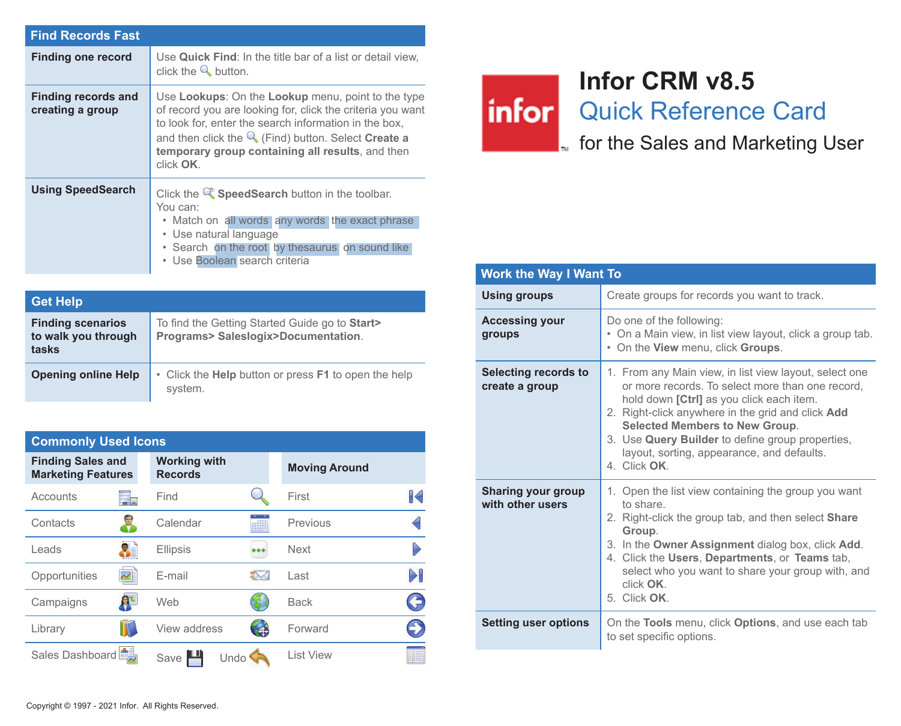| <b>Find Records Fast</b>                |                                                                                                                                                                                                                                                                                                             |
|-----------------------------------------|-------------------------------------------------------------------------------------------------------------------------------------------------------------------------------------------------------------------------------------------------------------------------------------------------------------|
| <b>Finding one record</b>               | Use Quick Find: In the title bar of a list or detail view.<br>click the $\mathbb Q$ button.                                                                                                                                                                                                                 |
| Finding records and<br>creating a group | Use Lookups: On the Lookup menu, point to the type<br>of record you are looking for, click the criteria you want<br>to look for, enter the search information in the box,<br>and then click the $\mathbb Q$ (Find) button. Select Create a<br>temporary group containing all results, and then<br>click OK. |
| <b>Using SpeedSearch</b>                | Click the $\mathbb{Q}^*$ Speed Search button in the toolbar.<br>You can:<br>• Match on all words any words the exact phrase<br>• Use natural language<br>. Search on the root by thesaurus on sound like<br>• Use Boolean search criteria                                                                   |

| <b>Get Help</b>                                          |                                                                                       |
|----------------------------------------------------------|---------------------------------------------------------------------------------------|
| <b>Finding scenarios</b><br>to walk you through<br>tasks | To find the Getting Started Guide go to Start><br>Programs> Saleslogix>Documentation. |
| <b>Opening online Help</b>                               | • Click the <b>Help</b> button or press <b>F1</b> to open the help<br>system.         |

| <b>Commonly Used Icons</b>                            |                                       |          |                      |              |
|-------------------------------------------------------|---------------------------------------|----------|----------------------|--------------|
| <b>Finding Sales and</b><br><b>Marketing Features</b> | <b>Working with</b><br><b>Records</b> |          | <b>Moving Around</b> |              |
| Accounts<br>۳.                                        | Find                                  |          | First                | $\mathbb{R}$ |
| Contacts                                              | Calendar                              |          | Previous             |              |
| Leads                                                 | Ellipsis                              |          | <b>Next</b>          |              |
| Opportunities                                         | E-mail                                |          | Last                 | DI           |
| 한다<br>Campaigns                                       | Web                                   |          | <b>Back</b>          | €            |
| Library                                               | View address                          | $\oplus$ | Forward              | 9            |
| Sales Dashboard                                       | Undo<br>Save                          |          | List View            |              |

## **Infor CRM v8.5**

**infor** Quick Reference Card

**Follow** for the Sales and Marketing User

| <b>Work the Way I Want To</b>          |                                                                                                                                                                                                                                                                                                                                                                      |  |
|----------------------------------------|----------------------------------------------------------------------------------------------------------------------------------------------------------------------------------------------------------------------------------------------------------------------------------------------------------------------------------------------------------------------|--|
| <b>Using groups</b>                    | Create groups for records you want to track.                                                                                                                                                                                                                                                                                                                         |  |
| <b>Accessing your</b><br>groups        | Do one of the following:<br>• On a Main view, in list view layout, click a group tab.<br>. On the View menu, click Groups.                                                                                                                                                                                                                                           |  |
| Selecting records to<br>create a group | 1. From any Main view, in list view layout, select one<br>or more records. To select more than one record,<br>hold down [Ctrl] as you click each item.<br>2. Right-click anywhere in the grid and click Add<br><b>Selected Members to New Group.</b><br>3. Use Query Builder to define group properties,<br>layout, sorting, appearance, and defaults.<br>4 Click OK |  |
| Sharing your group<br>with other users | 1. Open the list view containing the group you want<br>to share<br>2. Right-click the group tab, and then select <b>Share</b><br>Group.<br>3. In the Owner Assignment dialog box, click Add.<br>4. Click the Users, Departments, or Teams tab,<br>select who you want to share your group with, and<br>click OK.<br>5. Click OK.                                     |  |
| <b>Setting user options</b>            | On the Tools menu, click Options, and use each tab<br>to set specific options.                                                                                                                                                                                                                                                                                       |  |